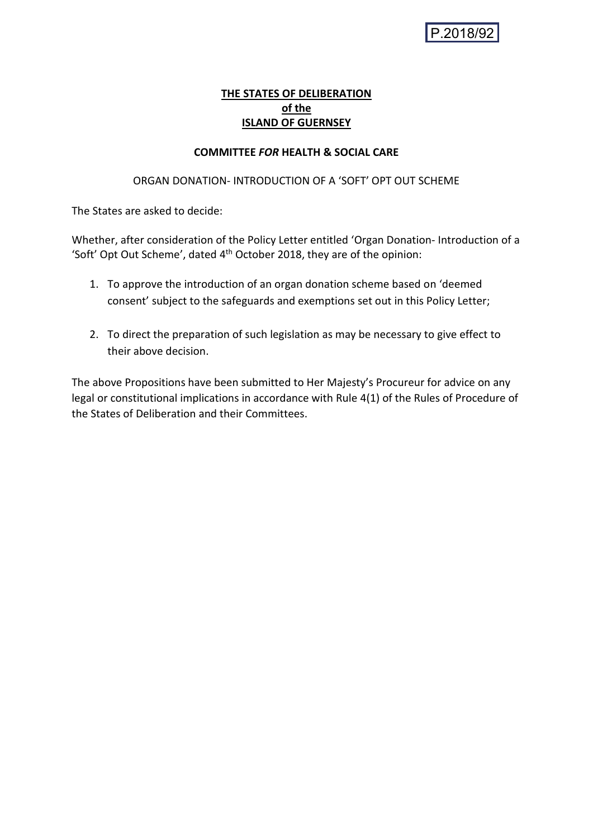# **THE STATES OF DELIBERATION of the ISLAND OF GUERNSEY**

## **COMMITTEE** *FOR* **HEALTH & SOCIAL CARE**

### ORGAN DONATION- INTRODUCTION OF A 'SOFT' OPT OUT SCHEME

The States are asked to decide:

Whether, after consideration of the Policy Letter entitled 'Organ Donation- Introduction of a 'Soft' Opt Out Scheme', dated 4<sup>th</sup> October 2018, they are of the opinion:

- 1. To approve the introduction of an organ donation scheme based on 'deemed consent' subject to the safeguards and exemptions set out in this Policy Letter;
- 2. To direct the preparation of such legislation as may be necessary to give effect to their above decision.

The above Propositions have been submitted to Her Majesty's Procureur for advice on any legal or constitutional implications in accordance with Rule 4(1) of the Rules of Procedure of the States of Deliberation and their Committees.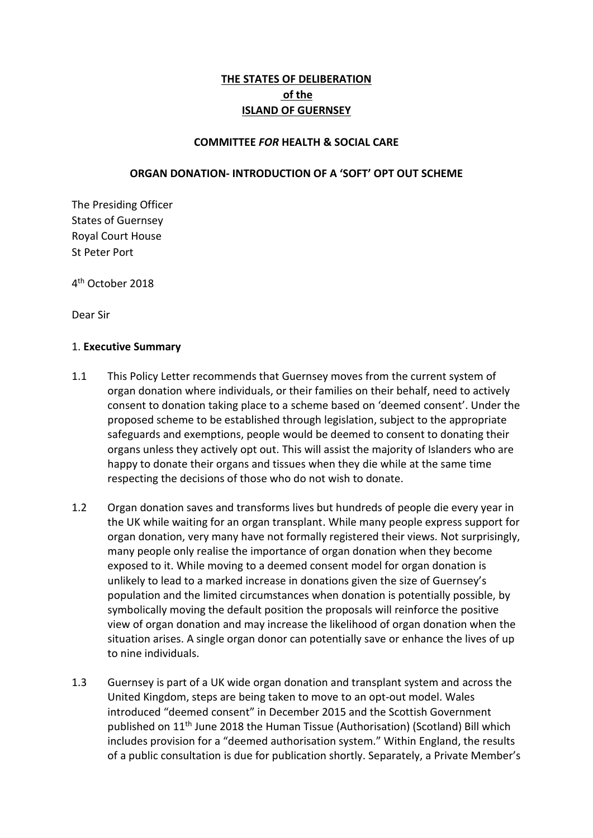# **THE STATES OF DELIBERATION of the ISLAND OF GUERNSEY**

### **COMMITTEE** *FOR* **HEALTH & SOCIAL CARE**

### **ORGAN DONATION- INTRODUCTION OF A 'SOFT' OPT OUT SCHEME**

The Presiding Officer States of Guernsey Royal Court House St Peter Port

4 th October 2018

Dear Sir

#### 1. **Executive Summary**

- 1.1 This Policy Letter recommends that Guernsey moves from the current system of organ donation where individuals, or their families on their behalf, need to actively consent to donation taking place to a scheme based on 'deemed consent'. Under the proposed scheme to be established through legislation, subject to the appropriate safeguards and exemptions, people would be deemed to consent to donating their organs unless they actively opt out. This will assist the majority of Islanders who are happy to donate their organs and tissues when they die while at the same time respecting the decisions of those who do not wish to donate.
- 1.2 Organ donation saves and transforms lives but hundreds of people die every year in the UK while waiting for an organ transplant. While many people express support for organ donation, very many have not formally registered their views. Not surprisingly, many people only realise the importance of organ donation when they become exposed to it. While moving to a deemed consent model for organ donation is unlikely to lead to a marked increase in donations given the size of Guernsey's population and the limited circumstances when donation is potentially possible, by symbolically moving the default position the proposals will reinforce the positive view of organ donation and may increase the likelihood of organ donation when the situation arises. A single organ donor can potentially save or enhance the lives of up to nine individuals.
- 1.3 Guernsey is part of a UK wide organ donation and transplant system and across the United Kingdom, steps are being taken to move to an opt-out model. Wales introduced "deemed consent" in December 2015 and the Scottish Government published on 11th June 2018 the Human Tissue (Authorisation) (Scotland) Bill which includes provision for a "deemed authorisation system." Within England, the results of a public consultation is due for publication shortly. Separately, a Private Member's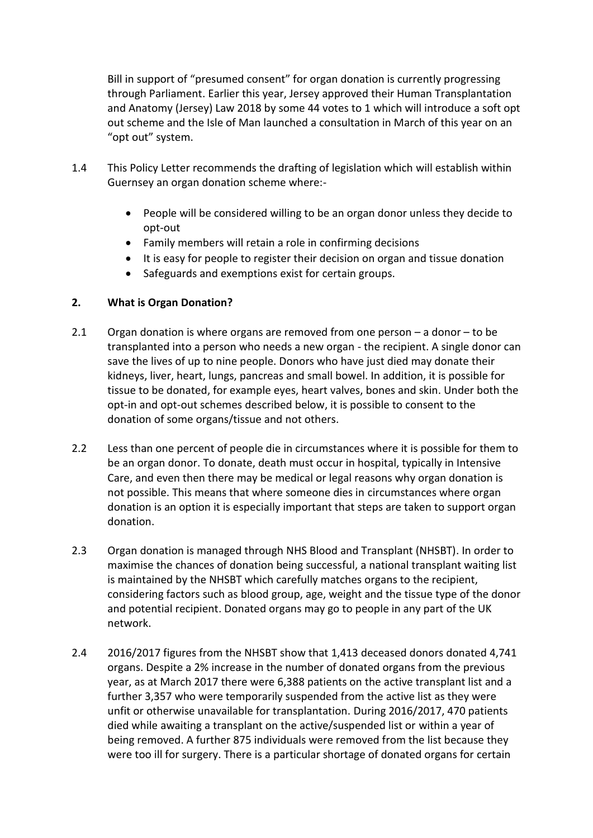Bill in support of "presumed consent" for organ donation is currently progressing through Parliament. Earlier this year, Jersey approved their Human Transplantation and Anatomy (Jersey) Law 2018 by some 44 votes to 1 which will introduce a soft opt out scheme and the Isle of Man launched a consultation in March of this year on an "opt out" system.

- 1.4 This Policy Letter recommends the drafting of legislation which will establish within Guernsey an organ donation scheme where:-
	- People will be considered willing to be an organ donor unless they decide to opt-out
	- Family members will retain a role in confirming decisions
	- It is easy for people to register their decision on organ and tissue donation
	- Safeguards and exemptions exist for certain groups.

## **2. What is Organ Donation?**

- 2.1 Organ donation is where organs are removed from one person a donor to be transplanted into a person who needs a new organ - the recipient. A single donor can save the lives of up to nine people. Donors who have just died may donate their kidneys, liver, heart, lungs, pancreas and small bowel. In addition, it is possible for tissue to be donated, for example eyes, heart valves, bones and skin. Under both the opt-in and opt-out schemes described below, it is possible to consent to the donation of some organs/tissue and not others.
- 2.2 Less than one percent of people die in circumstances where it is possible for them to be an organ donor. To donate, death must occur in hospital, typically in Intensive Care, and even then there may be medical or legal reasons why organ donation is not possible. This means that where someone dies in circumstances where organ donation is an option it is especially important that steps are taken to support organ donation.
- 2.3 Organ donation is managed through NHS Blood and Transplant (NHSBT). In order to maximise the chances of donation being successful, a national transplant waiting list is maintained by the NHSBT which carefully matches organs to the recipient, considering factors such as blood group, age, weight and the tissue type of the donor and potential recipient. Donated organs may go to people in any part of the UK network.
- 2.4 2016/2017 figures from the NHSBT show that 1,413 deceased donors donated 4,741 organs. Despite a 2% increase in the number of donated organs from the previous year, as at March 2017 there were 6,388 patients on the active transplant list and a further 3,357 who were temporarily suspended from the active list as they were unfit or otherwise unavailable for transplantation. During 2016/2017, 470 patients died while awaiting a transplant on the active/suspended list or within a year of being removed. A further 875 individuals were removed from the list because they were too ill for surgery. There is a particular shortage of donated organs for certain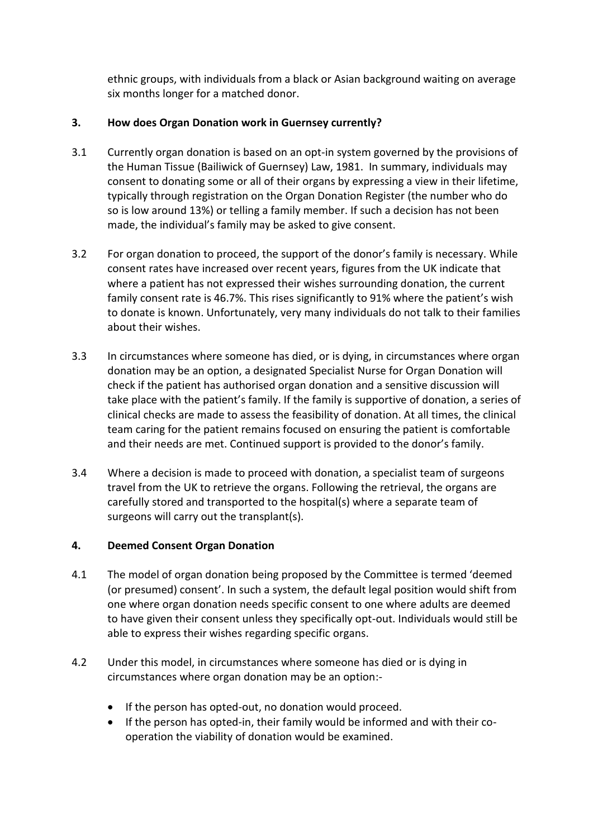ethnic groups, with individuals from a black or Asian background waiting on average six months longer for a matched donor.

# **3. How does Organ Donation work in Guernsey currently?**

- 3.1 Currently organ donation is based on an opt-in system governed by the provisions of the Human Tissue (Bailiwick of Guernsey) Law, 1981. In summary, individuals may consent to donating some or all of their organs by expressing a view in their lifetime, typically through registration on the Organ Donation Register (the number who do so is low around 13%) or telling a family member. If such a decision has not been made, the individual's family may be asked to give consent.
- 3.2 For organ donation to proceed, the support of the donor's family is necessary. While consent rates have increased over recent years, figures from the UK indicate that where a patient has not expressed their wishes surrounding donation, the current family consent rate is 46.7%. This rises significantly to 91% where the patient's wish to donate is known. Unfortunately, very many individuals do not talk to their families about their wishes.
- 3.3 In circumstances where someone has died, or is dying, in circumstances where organ donation may be an option, a designated Specialist Nurse for Organ Donation will check if the patient has authorised organ donation and a sensitive discussion will take place with the patient's family. If the family is supportive of donation, a series of clinical checks are made to assess the feasibility of donation. At all times, the clinical team caring for the patient remains focused on ensuring the patient is comfortable and their needs are met. Continued support is provided to the donor's family.
- 3.4 Where a decision is made to proceed with donation, a specialist team of surgeons travel from the UK to retrieve the organs. Following the retrieval, the organs are carefully stored and transported to the hospital(s) where a separate team of surgeons will carry out the transplant(s).

## **4. Deemed Consent Organ Donation**

- 4.1 The model of organ donation being proposed by the Committee is termed 'deemed (or presumed) consent'. In such a system, the default legal position would shift from one where organ donation needs specific consent to one where adults are deemed to have given their consent unless they specifically opt-out. Individuals would still be able to express their wishes regarding specific organs.
- 4.2 Under this model, in circumstances where someone has died or is dying in circumstances where organ donation may be an option:-
	- If the person has opted-out, no donation would proceed.
	- If the person has opted-in, their family would be informed and with their cooperation the viability of donation would be examined.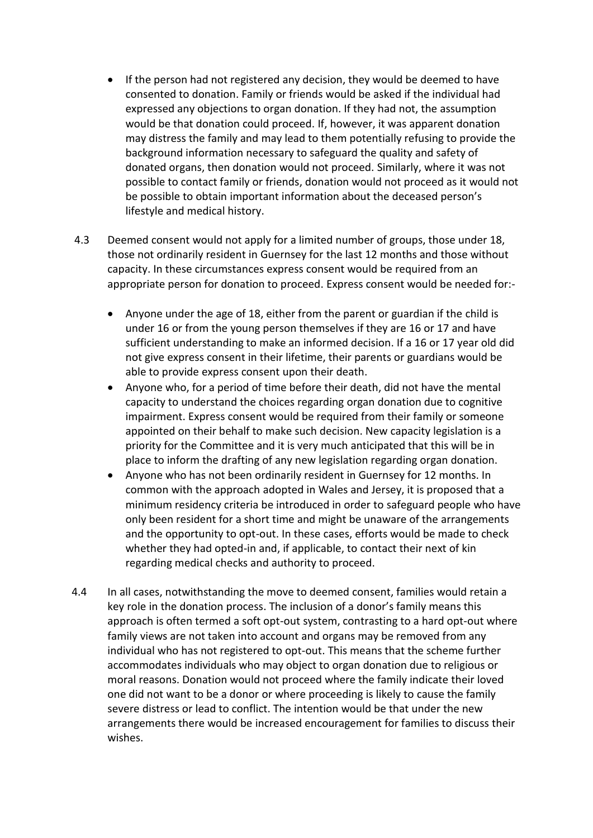- If the person had not registered any decision, they would be deemed to have consented to donation. Family or friends would be asked if the individual had expressed any objections to organ donation. If they had not, the assumption would be that donation could proceed. If, however, it was apparent donation may distress the family and may lead to them potentially refusing to provide the background information necessary to safeguard the quality and safety of donated organs, then donation would not proceed. Similarly, where it was not possible to contact family or friends, donation would not proceed as it would not be possible to obtain important information about the deceased person's lifestyle and medical history.
- 4.3 Deemed consent would not apply for a limited number of groups, those under 18, those not ordinarily resident in Guernsey for the last 12 months and those without capacity. In these circumstances express consent would be required from an appropriate person for donation to proceed. Express consent would be needed for:-
	- Anyone under the age of 18, either from the parent or guardian if the child is under 16 or from the young person themselves if they are 16 or 17 and have sufficient understanding to make an informed decision. If a 16 or 17 year old did not give express consent in their lifetime, their parents or guardians would be able to provide express consent upon their death.
	- Anyone who, for a period of time before their death, did not have the mental capacity to understand the choices regarding organ donation due to cognitive impairment. Express consent would be required from their family or someone appointed on their behalf to make such decision. New capacity legislation is a priority for the Committee and it is very much anticipated that this will be in place to inform the drafting of any new legislation regarding organ donation.
	- Anyone who has not been ordinarily resident in Guernsey for 12 months. In common with the approach adopted in Wales and Jersey, it is proposed that a minimum residency criteria be introduced in order to safeguard people who have only been resident for a short time and might be unaware of the arrangements and the opportunity to opt-out. In these cases, efforts would be made to check whether they had opted-in and, if applicable, to contact their next of kin regarding medical checks and authority to proceed.
- 4.4 In all cases, notwithstanding the move to deemed consent, families would retain a key role in the donation process. The inclusion of a donor's family means this approach is often termed a soft opt-out system, contrasting to a hard opt-out where family views are not taken into account and organs may be removed from any individual who has not registered to opt-out. This means that the scheme further accommodates individuals who may object to organ donation due to religious or moral reasons. Donation would not proceed where the family indicate their loved one did not want to be a donor or where proceeding is likely to cause the family severe distress or lead to conflict. The intention would be that under the new arrangements there would be increased encouragement for families to discuss their wishes.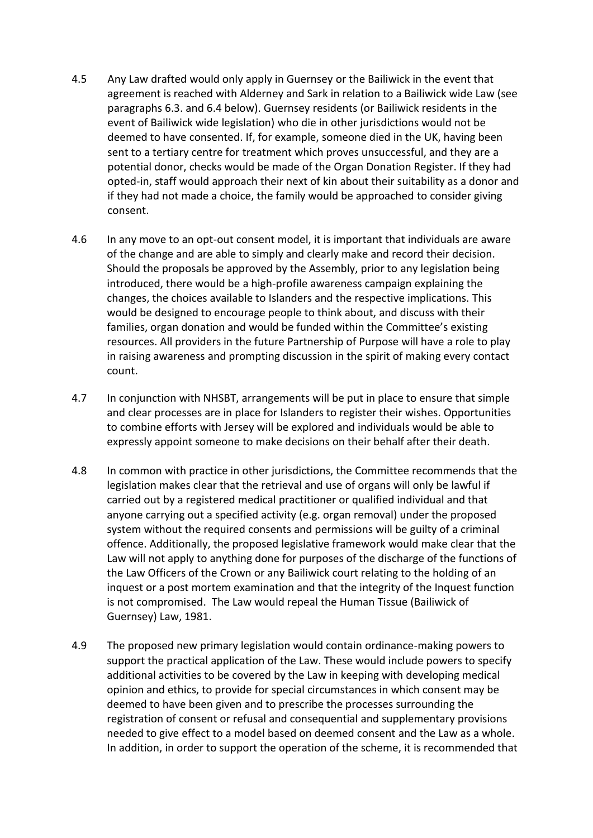- 4.5 Any Law drafted would only apply in Guernsey or the Bailiwick in the event that agreement is reached with Alderney and Sark in relation to a Bailiwick wide Law (see paragraphs 6.3. and 6.4 below). Guernsey residents (or Bailiwick residents in the event of Bailiwick wide legislation) who die in other jurisdictions would not be deemed to have consented. If, for example, someone died in the UK, having been sent to a tertiary centre for treatment which proves unsuccessful, and they are a potential donor, checks would be made of the Organ Donation Register. If they had opted-in, staff would approach their next of kin about their suitability as a donor and if they had not made a choice, the family would be approached to consider giving consent.
- 4.6 In any move to an opt-out consent model, it is important that individuals are aware of the change and are able to simply and clearly make and record their decision. Should the proposals be approved by the Assembly, prior to any legislation being introduced, there would be a high-profile awareness campaign explaining the changes, the choices available to Islanders and the respective implications. This would be designed to encourage people to think about, and discuss with their families, organ donation and would be funded within the Committee's existing resources. All providers in the future Partnership of Purpose will have a role to play in raising awareness and prompting discussion in the spirit of making every contact count.
- 4.7 In conjunction with NHSBT, arrangements will be put in place to ensure that simple and clear processes are in place for Islanders to register their wishes. Opportunities to combine efforts with Jersey will be explored and individuals would be able to expressly appoint someone to make decisions on their behalf after their death.
- 4.8 In common with practice in other jurisdictions, the Committee recommends that the legislation makes clear that the retrieval and use of organs will only be lawful if carried out by a registered medical practitioner or qualified individual and that anyone carrying out a specified activity (e.g. organ removal) under the proposed system without the required consents and permissions will be guilty of a criminal offence. Additionally, the proposed legislative framework would make clear that the Law will not apply to anything done for purposes of the discharge of the functions of the Law Officers of the Crown or any Bailiwick court relating to the holding of an inquest or a post mortem examination and that the integrity of the Inquest function is not compromised. The Law would repeal the Human Tissue (Bailiwick of Guernsey) Law, 1981.
- 4.9 The proposed new primary legislation would contain ordinance-making powers to support the practical application of the Law. These would include powers to specify additional activities to be covered by the Law in keeping with developing medical opinion and ethics, to provide for special circumstances in which consent may be deemed to have been given and to prescribe the processes surrounding the registration of consent or refusal and consequential and supplementary provisions needed to give effect to a model based on deemed consent and the Law as a whole. In addition, in order to support the operation of the scheme, it is recommended that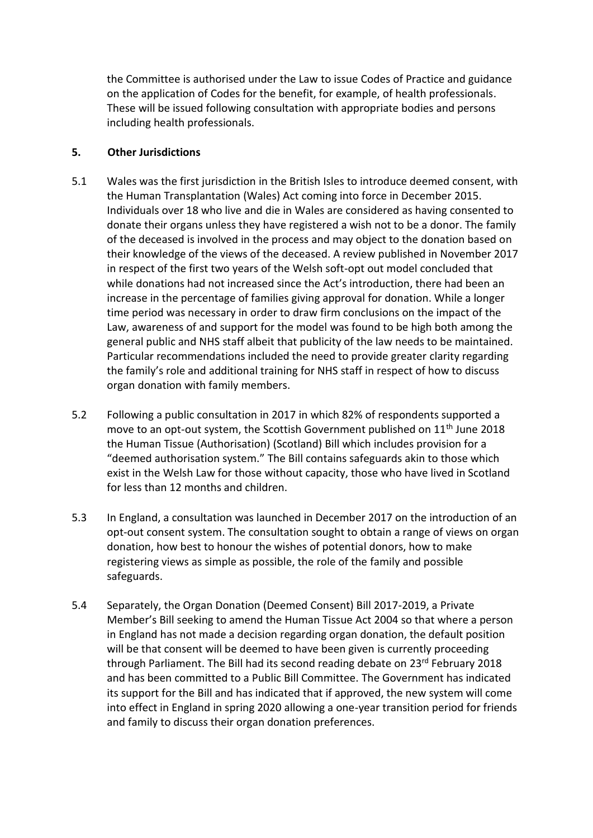the Committee is authorised under the Law to issue Codes of Practice and guidance on the application of Codes for the benefit, for example, of health professionals. These will be issued following consultation with appropriate bodies and persons including health professionals.

### **5. Other Jurisdictions**

- 5.1 Wales was the first jurisdiction in the British Isles to introduce deemed consent, with the Human Transplantation (Wales) Act coming into force in December 2015. Individuals over 18 who live and die in Wales are considered as having consented to donate their organs unless they have registered a wish not to be a donor. The family of the deceased is involved in the process and may object to the donation based on their knowledge of the views of the deceased. A review published in November 2017 in respect of the first two years of the Welsh soft-opt out model concluded that while donations had not increased since the Act's introduction, there had been an increase in the percentage of families giving approval for donation. While a longer time period was necessary in order to draw firm conclusions on the impact of the Law, awareness of and support for the model was found to be high both among the general public and NHS staff albeit that publicity of the law needs to be maintained. Particular recommendations included the need to provide greater clarity regarding the family's role and additional training for NHS staff in respect of how to discuss organ donation with family members.
- 5.2 Following a public consultation in 2017 in which 82% of respondents supported a move to an opt-out system, the Scottish Government published on 11<sup>th</sup> June 2018 the Human Tissue (Authorisation) (Scotland) Bill which includes provision for a "deemed authorisation system." The Bill contains safeguards akin to those which exist in the Welsh Law for those without capacity, those who have lived in Scotland for less than 12 months and children.
- 5.3 In England, a consultation was launched in December 2017 on the introduction of an opt-out consent system. The consultation sought to obtain a range of views on organ donation, how best to honour the wishes of potential donors, how to make registering views as simple as possible, the role of the family and possible safeguards.
- 5.4 Separately, the Organ Donation (Deemed Consent) Bill 2017-2019, a Private Member's Bill seeking to amend the Human Tissue Act 2004 so that where a person in England has not made a decision regarding organ donation, the default position will be that consent will be deemed to have been given is currently proceeding through Parliament. The Bill had its second reading debate on 23<sup>rd</sup> February 2018 and has been committed to a Public Bill Committee. The Government has indicated its support for the Bill and has indicated that if approved, the new system will come into effect in England in spring 2020 allowing a one-year transition period for friends and family to discuss their organ donation preferences.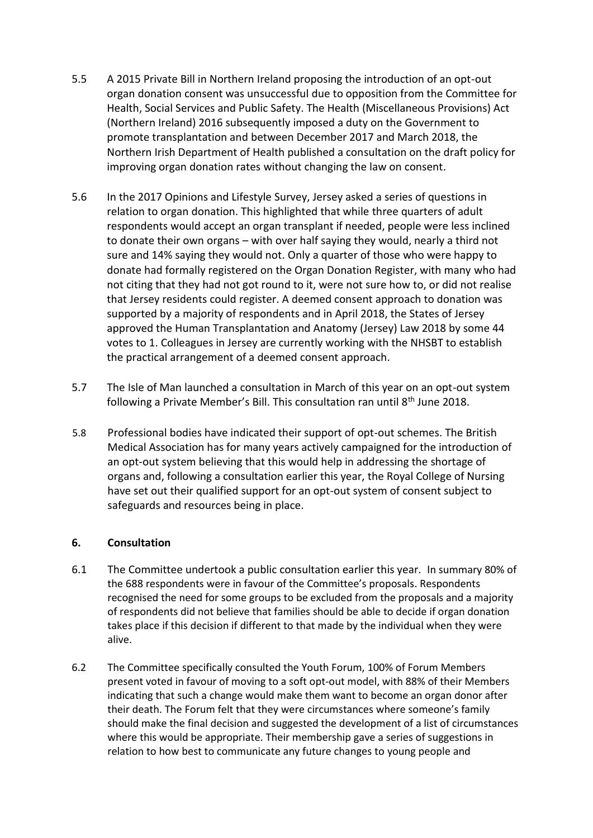- 5.5 A 2015 Private Bill in Northern Ireland proposing the introduction of an opt-out organ donation consent was unsuccessful due to opposition from the Committee for Health, Social Services and Public Safety. The Health (Miscellaneous Provisions) Act (Northern Ireland) 2016 subsequently imposed a duty on the Government to promote transplantation and between December 2017 and March 2018, the Northern Irish Department of Health published a consultation on the draft policy for improving organ donation rates without changing the law on consent.
- 5.6 In the 2017 Opinions and Lifestyle Survey, Jersey asked a series of questions in relation to organ donation. This highlighted that while three quarters of adult respondents would accept an organ transplant if needed, people were less inclined to donate their own organs – with over half saying they would, nearly a third not sure and 14% saying they would not. Only a quarter of those who were happy to donate had formally registered on the Organ Donation Register, with many who had not citing that they had not got round to it, were not sure how to, or did not realise that Jersey residents could register. A deemed consent approach to donation was supported by a majority of respondents and in April 2018, the States of Jersey approved the Human Transplantation and Anatomy (Jersey) Law 2018 by some 44 votes to 1. Colleagues in Jersey are currently working with the NHSBT to establish the practical arrangement of a deemed consent approach.
- 5.7 The Isle of Man launched a consultation in March of this year on an opt-out system following a Private Member's Bill. This consultation ran until 8<sup>th</sup> June 2018.
- 5.8 Professional bodies have indicated their support of opt-out schemes. The British Medical Association has for many years actively campaigned for the introduction of an opt-out system believing that this would help in addressing the shortage of organs and, following a consultation earlier this year, the Royal College of Nursing have set out their qualified support for an opt-out system of consent subject to safeguards and resources being in place.

### **6. Consultation**

- 6.1 The Committee undertook a public consultation earlier this year. In summary 80% of the 688 respondents were in favour of the Committee's proposals. Respondents recognised the need for some groups to be excluded from the proposals and a majority of respondents did not believe that families should be able to decide if organ donation takes place if this decision if different to that made by the individual when they were alive.
- 6.2 The Committee specifically consulted the Youth Forum, 100% of Forum Members present voted in favour of moving to a soft opt-out model, with 88% of their Members indicating that such a change would make them want to become an organ donor after their death. The Forum felt that they were circumstances where someone's family should make the final decision and suggested the development of a list of circumstances where this would be appropriate. Their membership gave a series of suggestions in relation to how best to communicate any future changes to young people and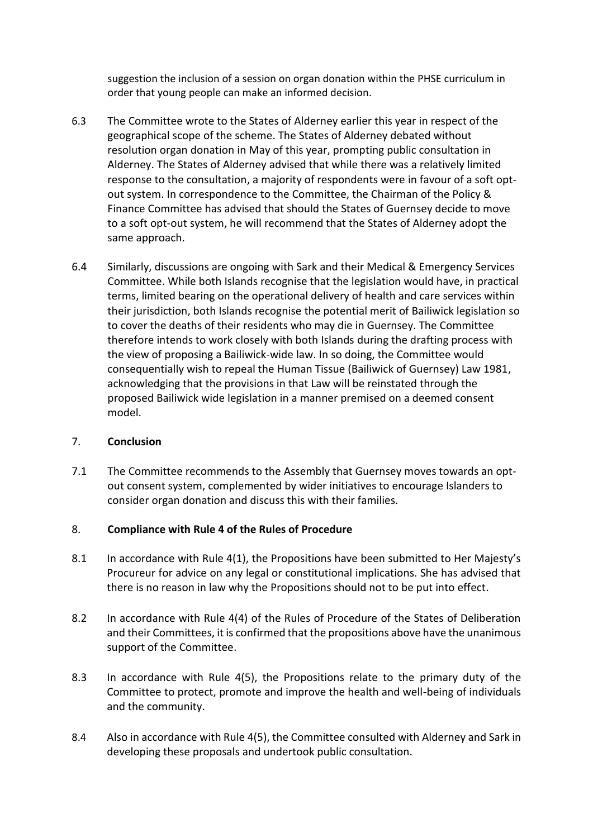suggestion the inclusion of a session on organ donation within the PHSE curriculum in order that young people can make an informed decision.

- 6.3 The Committee wrote to the States of Alderney earlier this year in respect of the geographical scope of the scheme. The States of Alderney debated without resolution organ donation in May of this year, prompting public consultation in Alderney. The States of Alderney advised that while there was a relatively limited response to the consultation, a majority of respondents were in favour of a soft optout system. In correspondence to the Committee, the Chairman of the Policy & Finance Committee has advised that should the States of Guernsey decide to move to a soft opt-out system, he will recommend that the States of Alderney adopt the same approach.
- 6.4 Similarly, discussions are ongoing with Sark and their Medical & Emergency Services Committee. While both Islands recognise that the legislation would have, in practical terms, limited bearing on the operational delivery of health and care services within their jurisdiction, both Islands recognise the potential merit of Bailiwick legislation so to cover the deaths of their residents who may die in Guernsey. The Committee therefore intends to work closely with both Islands during the drafting process with the view of proposing a Bailiwick-wide law. In so doing, the Committee would consequentially wish to repeal the Human Tissue (Bailiwick of Guernsey) Law 1981, acknowledging that the provisions in that Law will be reinstated through the proposed Bailiwick wide legislation in a manner premised on a deemed consent model.

### 7. **Conclusion**

7.1 The Committee recommends to the Assembly that Guernsey moves towards an optout consent system, complemented by wider initiatives to encourage Islanders to consider organ donation and discuss this with their families.

## 8. **Compliance with Rule 4 of the Rules of Procedure**

- 8.1 In accordance with Rule 4(1), the Propositions have been submitted to Her Majesty's Procureur for advice on any legal or constitutional implications. She has advised that there is no reason in law why the Propositions should not to be put into effect.
- 8.2 In accordance with Rule 4(4) of the Rules of Procedure of the States of Deliberation and their Committees, it is confirmed that the propositions above have the unanimous support of the Committee.
- 8.3 In accordance with Rule 4(5), the Propositions relate to the primary duty of the Committee to protect, promote and improve the health and well-being of individuals and the community.
- 8.4 Also in accordance with Rule 4(5), the Committee consulted with Alderney and Sark in developing these proposals and undertook public consultation.